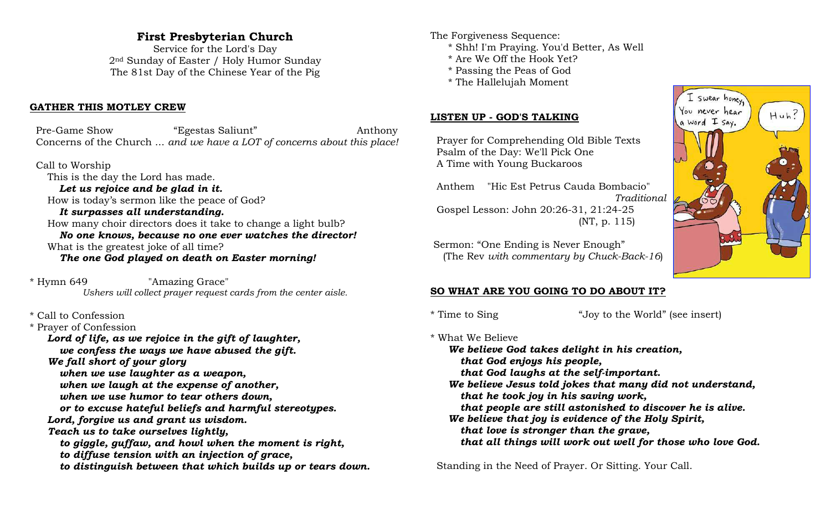# **First Presbyterian Church**

Service for the Lord's Day 2nd Sunday of Easter / Holy Humor Sunday The 81st Day of the Chinese Year of the Pig

#### **GATHER THIS MOTLEY CREW**

 Pre-Game Show "Egestas Saliunt" Anthony Concerns of the Church ... *and we have a LOT of concerns about this place!*

 Call to Worship This is the day the Lord has made. *Let us rejoice and be glad in it.* How is today's sermon like the peace of God? *It surpasses all understanding.* How many choir directors does it take to change a light bulb? *No one knows, because no one ever watches the director!* What is the greatest joke of all time?

*The one God played on death on Easter morning!*

\* Hymn 649 "Amazing Grace" *Ushers will collect prayer request cards from the center aisle.*

\* Call to Confession

\* Prayer of Confession *Lord of life, as we rejoice in the gift of laughter, we confess the ways we have abused the gift. We fall short of your glory when we use laughter as a weapon, when we laugh at the expense of another, when we use humor to tear others down, or to excuse hateful beliefs and harmful stereotypes. Lord, forgive us and grant us wisdom. Teach us to take ourselves lightly, to giggle, guffaw, and howl when the moment is right, to diffuse tension with an injection of grace, to distinguish between that which builds up or tears down.* The Forgiveness Sequence:

- \* Shh! I'm Praying. You'd Better, As Well
- \* Are We Off the Hook Yet?
- \* Passing the Peas of God
- \* The Hallelujah Moment

#### **LISTEN UP - GOD'S TALKING**

 Prayer for Comprehending Old Bible Texts Psalm of the Day: We'll Pick One A Time with Young Buckaroos

 Anthem "Hic Est Petrus Cauda Bombacio" *Traditional* Gospel Lesson: John 20:26-31, 21:24-25 (NT, p. 115)

 Sermon: "One Ending is Never Enough" (The Rev *with commentary by Chuck-Back-16*)



\* Time to Sing "Joy to the World" (see insert)

\* What We Believe *We believe God takes delight in his creation, that God enjoys his people, that God laughs at the self-important. We believe Jesus told jokes that many did not understand, that he took joy in his saving work, that people are still astonished to discover he is alive. We believe that joy is evidence of the Holy Spirit, that love is stronger than the grave, that all things will work out well for those who love God.*

Standing in the Need of Prayer. Or Sitting. Your Call.